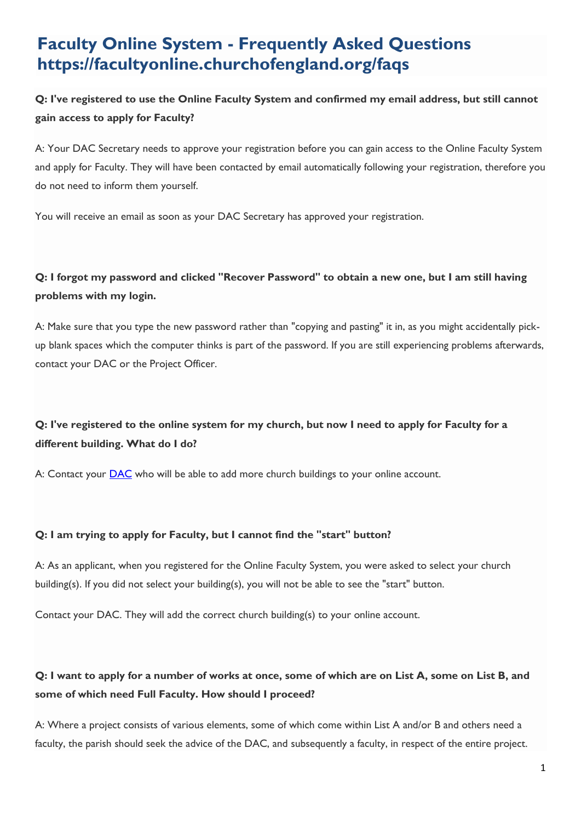# **Faculty Online System - Frequently Asked Questions https://facultyonline.churchofengland.org/faqs**

# **Q: I've registered to use the Online Faculty System and confirmed my email address, but still cannot gain access to apply for Faculty?**

A: Your DAC Secretary needs to approve your registration before you can gain access to the Online Faculty System and apply for Faculty. They will have been contacted by email automatically following your registration, therefore you do not need to inform them yourself.

You will receive an email as soon as your DAC Secretary has approved your registration.

# **Q: I forgot my password and clicked "Recover Password" to obtain a new one, but I am still having problems with my login.**

A: Make sure that you type the new password rather than "copying and pasting" it in, as you might accidentally pickup blank spaces which the computer thinks is part of the password. If you are still experiencing problems afterwards, contact your DAC or the Project Officer.

# **Q: I've registered to the online system for my church, but now I need to apply for Faculty for a different building. What do I do?**

A: Contact your **[DAC](http://www.churchcare.co.uk/churches/church-buildings-council/who-s-who/dacs/dac-contact-details)** who will be able to add more church buildings to your online account.

#### **Q: I am trying to apply for Faculty, but I cannot find the "start" button?**

A: As an applicant, when you registered for the Online Faculty System, you were asked to select your church building(s). If you did not select your building(s), you will not be able to see the "start" button.

Contact your DAC. They will add the correct church building(s) to your online account.

# **Q: I want to apply for a number of works at once, some of which are on List A, some on List B, and some of which need Full Faculty. How should I proceed?**

A: Where a project consists of various elements, some of which come within List A and/or B and others need a faculty, the parish should seek the advice of the DAC, and subsequently a faculty, in respect of the entire project.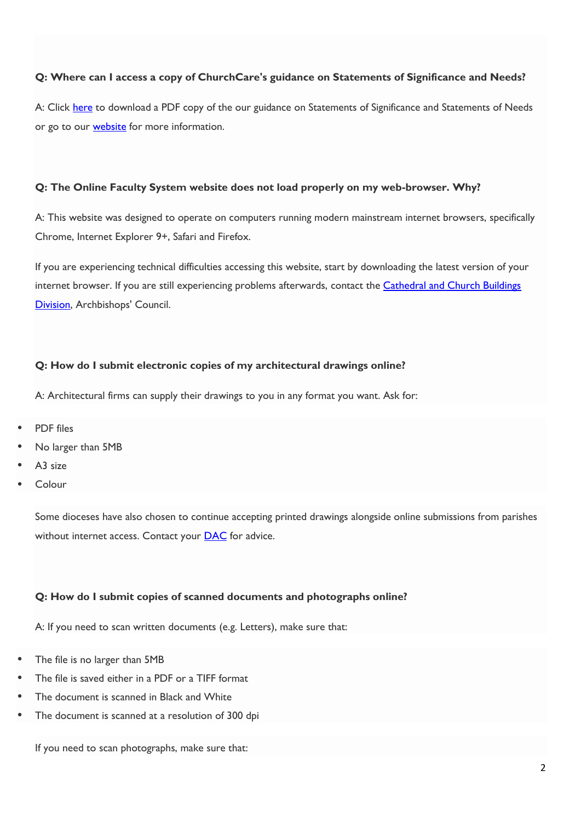#### **Q: Where can I access a copy of ChurchCare's guidance on Statements of Significance and Needs?**

A: Click [here](https://facultyonline.churchofengland.org/Data/Sites/1/media/user-manuals/guidance_on_statements_of_significance_and_need.pdf) to download a PDF copy of the our guidance on Statements of Significance and Statements of Needs or go to our **[website](http://www.churchcare.co.uk/churches/guidance-advice/statements-of-significance-need)** for more information.

#### **Q: The Online Faculty System website does not load properly on my web-browser. Why?**

A: This website was designed to operate on computers running modern mainstream internet browsers, specifically Chrome, Internet Explorer 9+, Safari and Firefox.

If you are experiencing technical difficulties accessing this website, start by downloading the latest version of your internet browser. If you are still experiencing problems afterwards, contact the [Cathedral and Church Buildings](mailto:abubaker.pasha@churchofengland.org)  [Division,](mailto:abubaker.pasha@churchofengland.org) Archbishops' Council.

#### **Q: How do I submit electronic copies of my architectural drawings online?**

A: Architectural firms can supply their drawings to you in any format you want. Ask for:

- PDF files
- No larger than 5MB
- A3 size
- Colour

Some dioceses have also chosen to continue accepting printed drawings alongside online submissions from parishes without internet access. Contact your **[DAC](http://www.churchcare.co.uk/churches/church-buildings-council/who-s-who/dacs/dac-contact-details)** for advice.

#### **Q: How do I submit copies of scanned documents and photographs online?**

A: If you need to scan written documents (e.g. Letters), make sure that:

- The file is no larger than 5MB
- The file is saved either in a PDF or a TIFF format
- The document is scanned in Black and White
- The document is scanned at a resolution of 300 dpi

If you need to scan photographs, make sure that: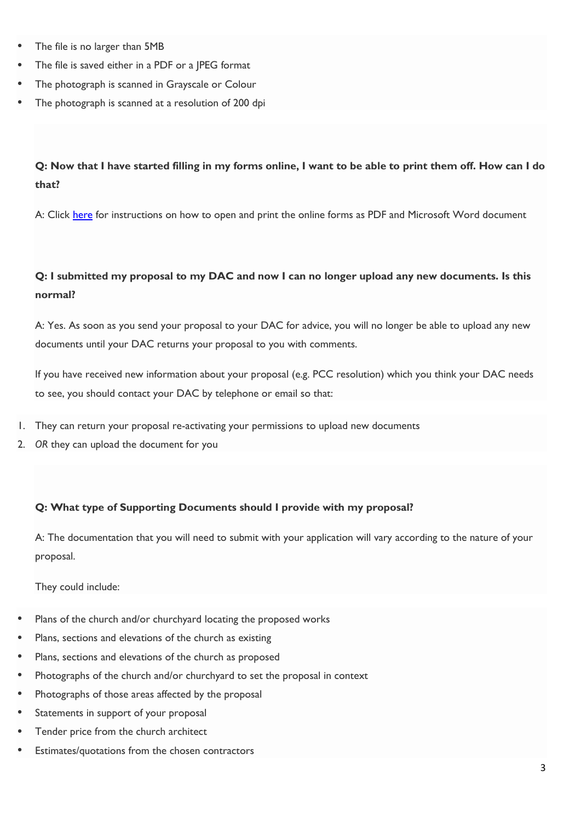- The file is no larger than 5MB
- The file is saved either in a PDF or a JPEG format
- The photograph is scanned in Grayscale or Colour
- The photograph is scanned at a resolution of 200 dpi

### **Q: Now that I have started filling in my forms online, I want to be able to print them off. How can I do that?**

A: Click [here](https://facultyonline.churchofengland.org/Data/Sites/1/media/user-manuals/how-to-print-online-forms.pdf) for instructions on how to open and print the online forms as PDF and Microsoft Word document

### **Q: I submitted my proposal to my DAC and now I can no longer upload any new documents. Is this normal?**

A: Yes. As soon as you send your proposal to your DAC for advice, you will no longer be able to upload any new documents until your DAC returns your proposal to you with comments.

If you have received new information about your proposal (e.g. PCC resolution) which you think your DAC needs to see, you should contact your DAC by telephone or email so that:

- 1. They can return your proposal re-activating your permissions to upload new documents
- 2. *OR* they can upload the document for you

#### **Q: What type of Supporting Documents should I provide with my proposal?**

A: The documentation that you will need to submit with your application will vary according to the nature of your proposal.

They could include:

- Plans of the church and/or churchyard locating the proposed works
- Plans, sections and elevations of the church as existing
- Plans, sections and elevations of the church as proposed
- Photographs of the church and/or churchyard to set the proposal in context
- Photographs of those areas affected by the proposal
- Statements in support of your proposal
- Tender price from the church architect
- Estimates/quotations from the chosen contractors